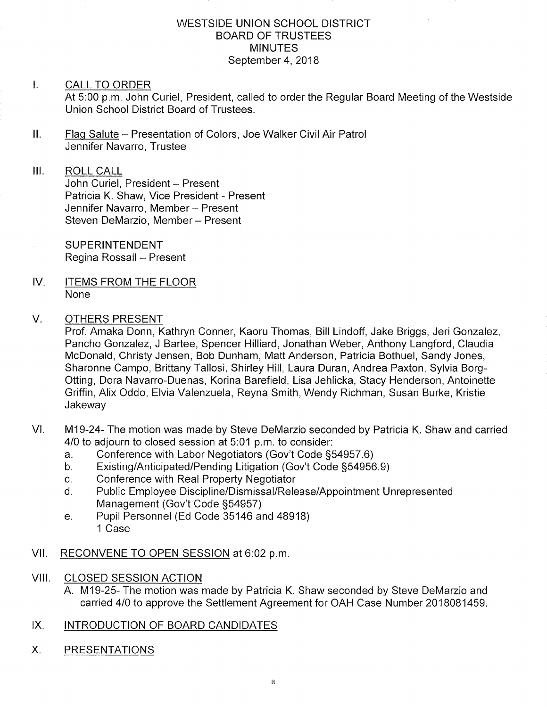#### WESTSIDE UNION SCHOOL DISTRICT BOARD OF TRUSTEES MINUTES September 4, 2018

#### $\mathbf{L}$ CALL TO ORDER

At 5:00 p.m. John Curiel, President, called to order the Regular Board Meeting of the Westside Union School District Board of Trustees.

ll. Flag Salute - Presentation of Colors , Joe Walker Civil Air Patrol Jennifer Navarro, Trustee

#### III. ROLL CALL

John Curiel, President - Present Patricia K. Shaw, Vice President - Present Jennifer Navarro, Member - Present Steven DeMarzio, Member - Present

SUPERINTENDENT Regina Rossall - Present

IV. ITEMS FROM THE FLOOR None

#### V OTHERS PRESENT

Prof. Amaka Donn, Kathryn Conner, Kaoru Thomas, Bill Lindoff, Jake Briggs, Jeri Gonzalez, Pancho Gonzalez, J Bartee, Spencer Hilliard, Jonathan Weber, Anthony Langford, Claudia McDonald, Christy Jensen, Bob Dunham, Matt Anderson, Patricia Bothuel, Sandy Jones, Sharonne Campo, Brittany Tallosi, Shirley Hill, Laura Duran, Andrea Paxton, Sylvia Borg-Otting, Dora Navarro-Duenas, Korina Barefield, Lisa Jehlicka, Stacy Henderson, Antoinette Griffin, Alix Oddo, Elvia Valenzuela, Reyna Smith, Wendy Richman, Susan Burke, Kristie Jakeway

- VI. M19-24- The motion was made by Steve DeMarzio seconded by Patricia K. Shaw and carried 4/0 to adjourn to closed session at 5:01 p.m. to consider:
	- a. Conference with Labor Negotiators (Gov't Code §54957.6)<br>b. Existing/Anticipated/Pending Litigation (Gov't Code §54956.9)
	-
	-
	- c. Conference with Real Property Negotiator<br>d. Public Employee Discipline/Dismissal/Release/Appointment Unrepresented<br>Management (Gov't Code §54957)
	- e. Pupil Personnel (Ed Code 35146 and 48918) 1 Case
- Vll. RECONVENE TO OPEN SESSION at 6:02 p.m
- VIII. CLOSED SESSION ACTION
	- A. M19-25- The motion was made by Patricia K. Shaw seconded by Steve DeMarzio and carried 410 to approve the Settlement Agreement for OAH Case Number 2018081459.
- IX. INTRODUCTION OF BOARD CANDIDATES
- X. PRESENTATIONS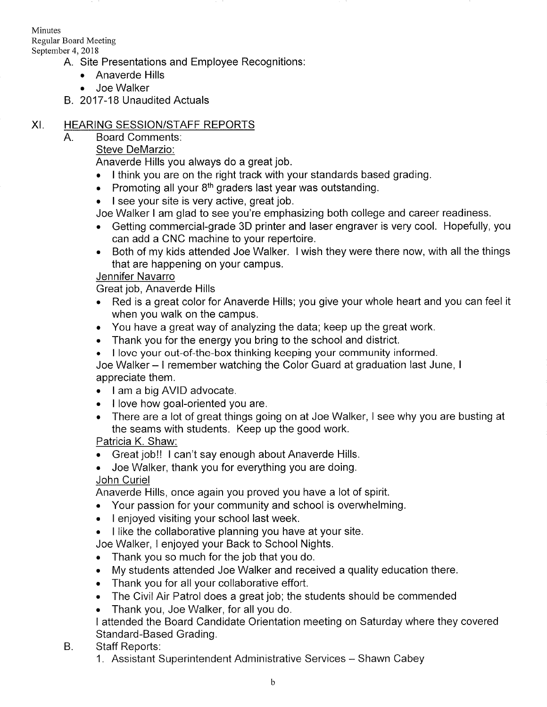Minutes Regular Board Meeting September 4,2018

A.

- A. Site Presentations and Employee Recognitions
	- . Anaverde Hills
	- . Joe Walker
- B. 2017-18 Unaudited Actuals

# XI. HEARING SESSION/STAFF REPORTS

## Board Comments

## Steve DeMarzio:

Anaverde Hills you always do a great job.

- . I think you are on the right track with your standards based grading.
- Promoting all your  $8<sup>th</sup>$  graders last year was outstanding.
- . I see your site is very active, great job.

Joe Walker I am glad to see you're emphasizing both college and career readiness.

- . Getting commercial-grade 3D printer and laser engraver is very cool. Hopefully, you can add a CNC machine to your repertoire.
- . Both of my kids attended Joe Walker. I wish they were there now, with all the things that are happening on your campus.

# Jennifer Navarro

Great job, Anaverde Hills

- . Red is a great color for Anaverde Hills; you give your whole heart and you can feel it when you walk on the campus.
- . You have a great way of analyzing the data; keep up the great work.
- . Thank you for the energy you bring to the school and district.
- . I love your out-of-the-box thinking keeping your community informed.

Joe Walker - I remember watching the Color Guard at graduation last June, <sup>I</sup> appreciate them.

- I am a big AVID advocate.
- I love how goal-oriented you are.
- . There are a lot of great things going on at Joe Walker, I see why you are busting at the seams with students. Keep up the good work.

# Patricia K. Shaw:

• Great job!! I can't say enough about Anaverde Hills.

. Joe Walker, thank you for everything you are doing.

John Curiel

Anaverde Hills, once again you proved you have a lot of spirit.

- . Your passion for your community and school is overwhelming.
- . <sup>I</sup>enjoyed visiting your school last week.
- . I like the collaborative planning you have at your site.

Joe Walker, I enjoyed your Back to School Nights.

- . Thank you so much for the job that you do.
- . My students attended Joe Walker and received a quality education there.
- . Thank you for all your collaborative effort.
- The Civil Air Patrol does a great job; the students should be commended
- . Thank you, Joe Walker, for all you do.

<sup>I</sup>attended the Board Candidate Orientation meeting on Saturday where they covered Standard-Based Grading.

- Staff Reports: B.
	- 1. Assistant Superintendent Administrative Services Shawn Cabey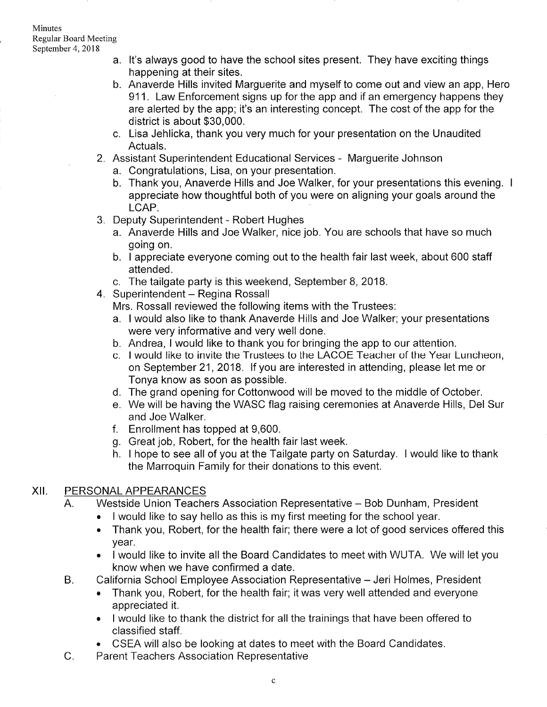- a. lt's always good to have the school sites present. They have exciting things happening at their sites.
- b. Anaverde Hills invited Marguerite and myself to come out and view an app, Hero 911. Law Enforcement signs up for the app and if an emergency happens they are alerted by the app; it's an interesting concept. The cost of the app for the district is about \$30,000.
- c. Lisa Jehlicka, thank you very much for your presentation on the Unaudited Actuals.
- 2. Assistant Superintendent Educational Services Marguerite Johnson
	- a. Congratulations, Lisa, on your presentation.
	- b. Thank you, Anaverde Hills and Joe Walker, for your presentations this evening. <sup>I</sup> appreciate how thoughtful both of you were on aligning your goals around the LCAP.
- 3. Deputy Superintendent Robert Hughes
	- a. Anaverde Hills and Joe Walker, nice job. You are schools that have so much going on.
	- b. I appreciate everyone coming out to the health fair last week, about 600 staff attended.
- c. The tailgate party is this weekend, September 8,2018. 4. Superintendent Regina Rossall
- - Mrs. Rossall reviewed the following items with the Trustees:
	- a. I would also like to thank Anaverde Hills and Joe Walker; your presentations were very informative and very well done.
	- b. Andrea, I would like to thank you for bringing the app to our attention.
	- c. I would like to invite the Trustees to the LACOE Teacher of the Year Luncheon, on September 21,2018. lf you are interested in attending, please let me or Tonya know as soon as possible.
	- d. The grand opening for Cottonwood will be moved to the middle of October.
	- e. We will be having the WASC flag raising ceremonies at Anaverde Hills, Del Sur and Joe Walker.
	- <sup>f</sup>. Enrollment has topped at 9,600.
	-
	- g. Great job, Robert, for the health fair last week.<br>h. I hope to see all of you at the Tailgate party on Saturday. I would like to thank the Marroquin Family for their donations to this event.

#### xil PERSONAL APPEARANCES

- A. Westside Union Teachers Association Representative Bob Dunham, President
	- . I would like to say hello as this is my first meeting for the school year.
	- Thank you, Robert, for the health fair; there were a lot of good services offered this year.
	- . I would like to invite all the Board Candidates to meet with WUTA. We will let you know when we have confirmed a date.
- B. California School Employee Association Representative Jeri Holmes, President
	- . Thank you, Robert, for the health fair; it was very well attended and everyone appreciated it.
	- . I would like to thank the district for all the trainings that have been offered to classified staff.
- CSEA will also be looking at dates to meet with the Board Candidates.<br>C. Parent Teachers Association Representative
-